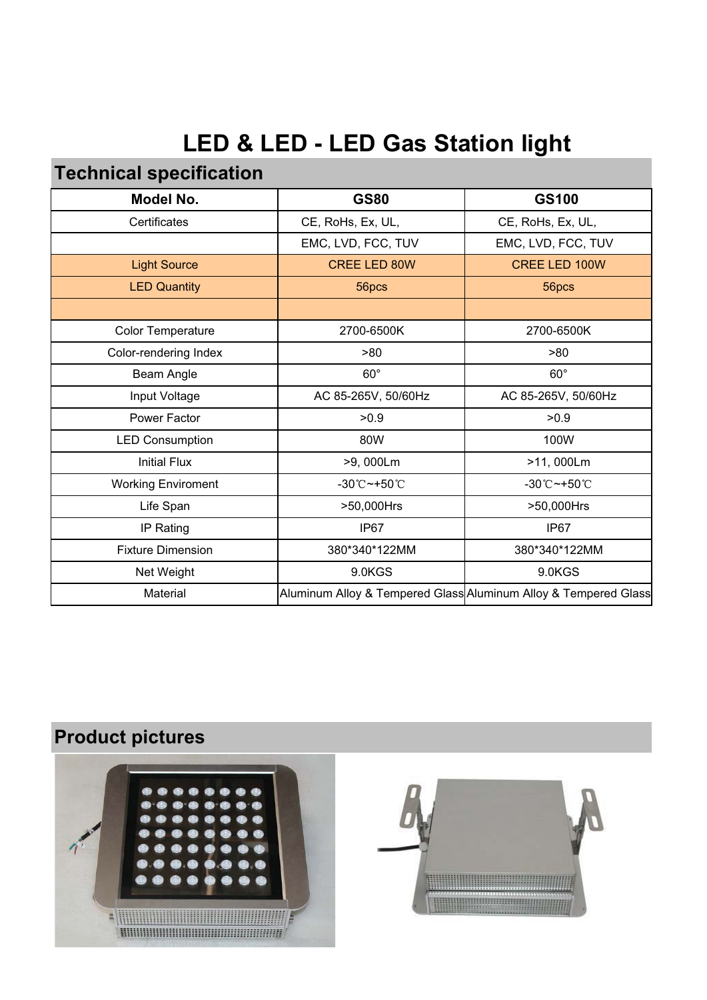# **LED & LED - LED Gas Station light**

## **Technical specification**

| Model No.                 | <b>GS80</b>                        | GS100                                                           |
|---------------------------|------------------------------------|-----------------------------------------------------------------|
| Certificates              | CE, RoHs, Ex, UL,                  | CE, RoHs, Ex, UL,                                               |
|                           | EMC, LVD, FCC, TUV                 | EMC, LVD, FCC, TUV                                              |
| <b>Light Source</b>       | <b>CREE LED 80W</b>                | CREE LED 100W                                                   |
| <b>LED Quantity</b>       | 56pcs                              | 56pcs                                                           |
|                           |                                    |                                                                 |
| <b>Color Temperature</b>  | 2700-6500K                         | 2700-6500K                                                      |
| Color-rendering Index     | >80                                | >80                                                             |
| Beam Angle                | $60^\circ$                         | $60^\circ$                                                      |
| Input Voltage             | AC 85-265V, 50/60Hz                | AC 85-265V, 50/60Hz                                             |
| Power Factor              | >0.9                               | >0.9                                                            |
| <b>LED Consumption</b>    | 80W                                | 100W                                                            |
| <b>Initial Flux</b>       | >9,000Lm                           | >11,000Lm                                                       |
| <b>Working Enviroment</b> | $-30^{\circ}$ C ~ +50 $^{\circ}$ C | $-30^{\circ}$ C $-+50^{\circ}$ C                                |
| Life Span                 | >50,000Hrs                         | >50,000Hrs                                                      |
| IP Rating                 | IP67                               | IP67                                                            |
| <b>Fixture Dimension</b>  | 380*340*122MM                      | 380*340*122MM                                                   |
| Net Weight                | 9.0KGS                             | 9.0KGS                                                          |
| Material                  |                                    | Aluminum Alloy & Tempered Glass Aluminum Alloy & Tempered Glass |
|                           |                                    |                                                                 |

# **Product pictures**



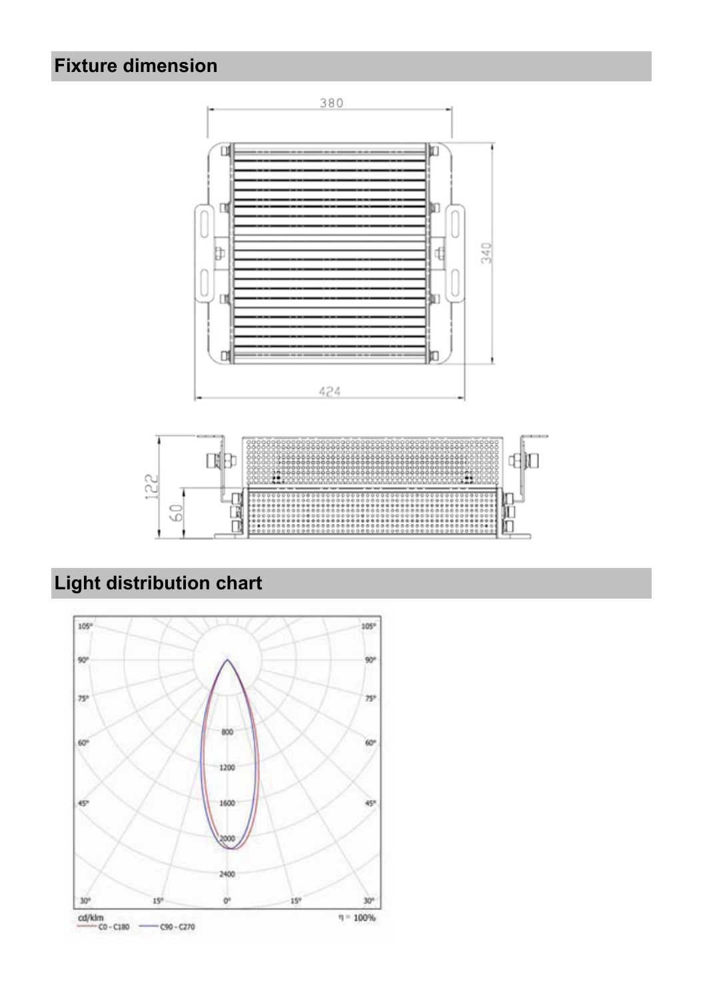# **Fixture dimension**



# **Light distribution chart**

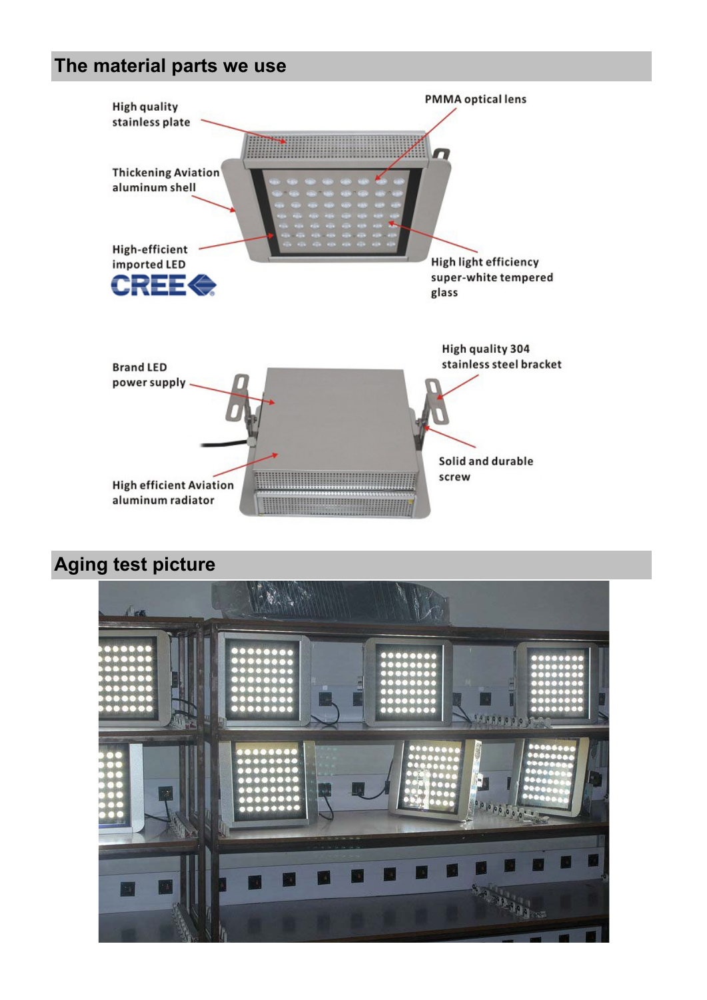#### **The material parts we use**



#### **Aging test picture**

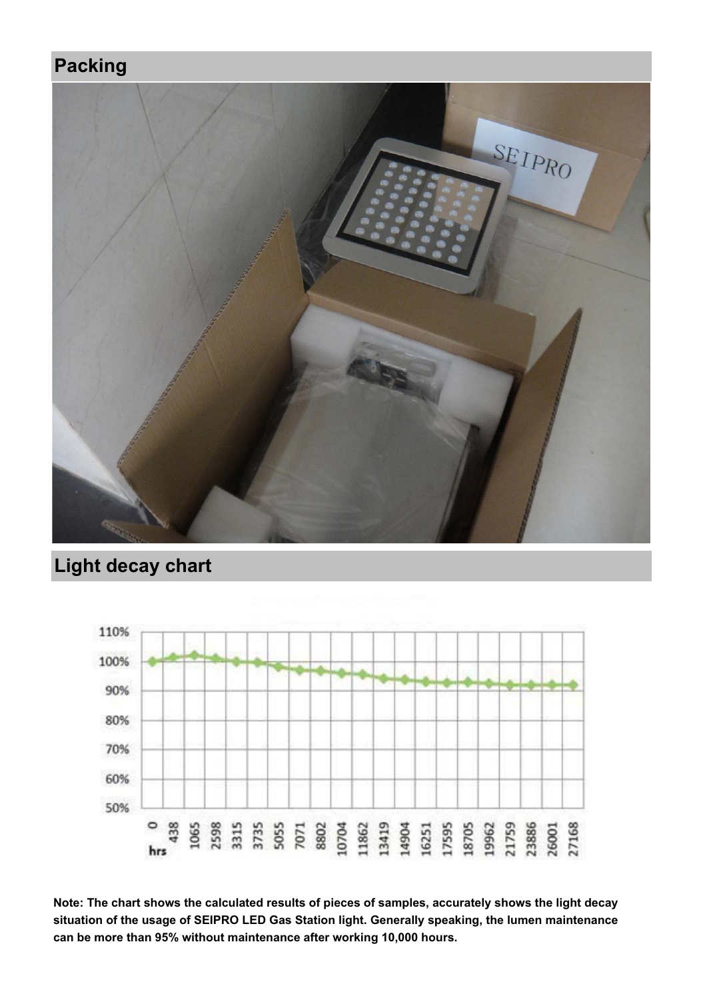#### **Packing**



## **Light decay chart**



**Note: The chart shows the calculated results of pieces of samples, accurately shows the light decay situation of the usage of SEIPRO LED Gas Station light. Generally speaking, the lumen maintenance can be more than 95% without maintenance after working 10,000 hours.**